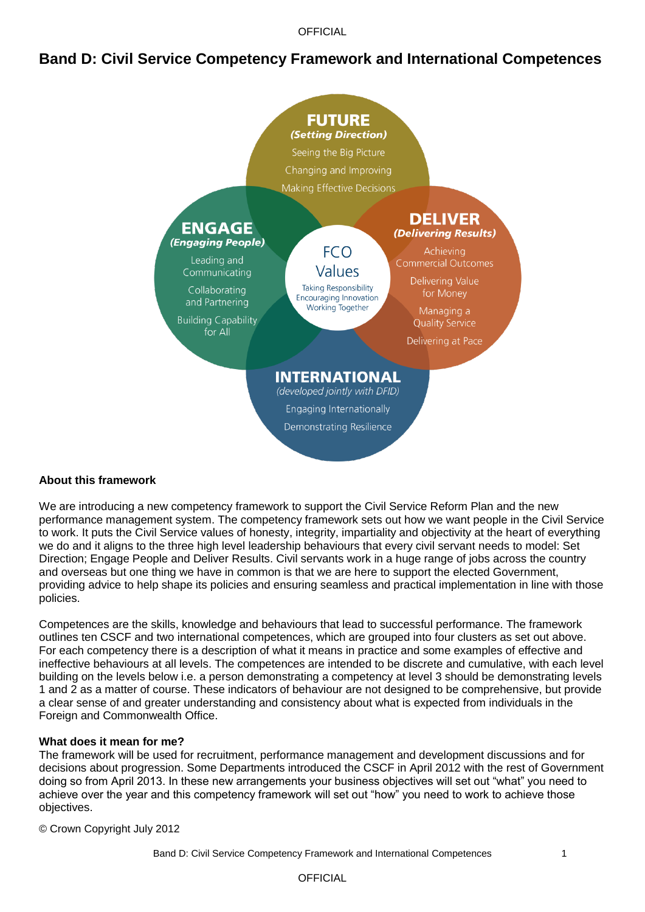**OFFICIAL** 

## **Band D: Civil Service Competency Framework and International Competences**



#### **About this framework**

We are introducing a new competency framework to support the Civil Service Reform Plan and the new performance management system. The competency framework sets out how we want people in the Civil Service to work. It puts the Civil Service values of honesty, integrity, impartiality and objectivity at the heart of everything we do and it aligns to the three high level leadership behaviours that every civil servant needs to model: Set Direction; Engage People and Deliver Results. Civil servants work in a huge range of jobs across the country and overseas but one thing we have in common is that we are here to support the elected Government, providing advice to help shape its policies and ensuring seamless and practical implementation in line with those policies.

Competences are the skills, knowledge and behaviours that lead to successful performance. The framework outlines ten CSCF and two international competences, which are grouped into four clusters as set out above. For each competency there is a description of what it means in practice and some examples of effective and ineffective behaviours at all levels. The competences are intended to be discrete and cumulative, with each level building on the levels below i.e. a person demonstrating a competency at level 3 should be demonstrating levels 1 and 2 as a matter of course. These indicators of behaviour are not designed to be comprehensive, but provide a clear sense of and greater understanding and consistency about what is expected from individuals in the Foreign and Commonwealth Office.

#### **What does it mean for me?**

The framework will be used for recruitment, performance management and development discussions and for decisions about progression. Some Departments introduced the CSCF in April 2012 with the rest of Government doing so from April 2013. In these new arrangements your business objectives will set out "what" you need to achieve over the year and this competency framework will set out "how" you need to work to achieve those objectives.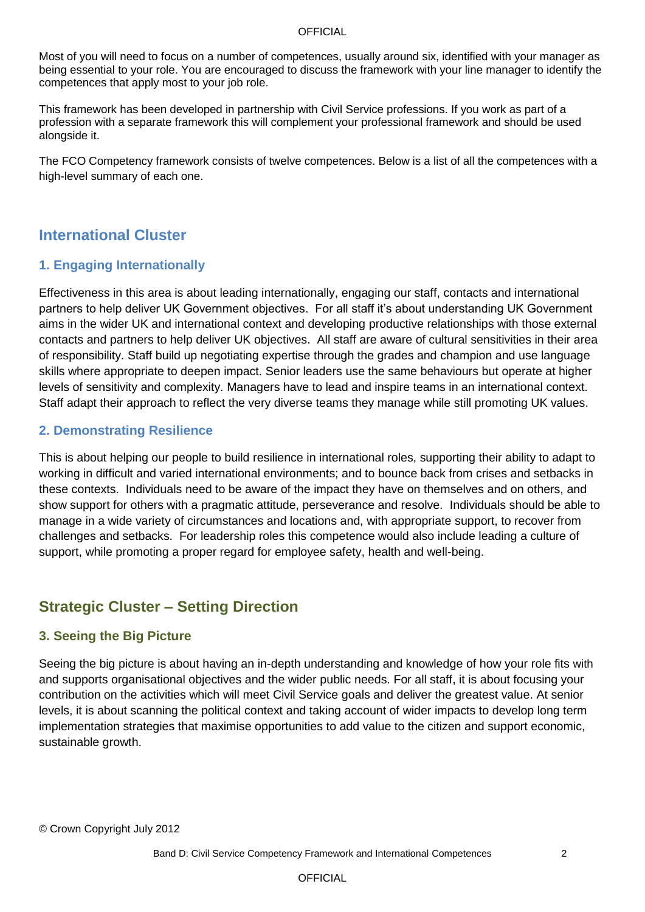#### **OFFICIAL**

Most of you will need to focus on a number of competences, usually around six, identified with your manager as being essential to your role. You are encouraged to discuss the framework with your line manager to identify the competences that apply most to your job role.

This framework has been developed in partnership with Civil Service professions. If you work as part of a profession with a separate framework this will complement your professional framework and should be used alongside it.

The FCO Competency framework consists of twelve competences. Below is a list of all the competences with a high-level summary of each one.

## **International Cluster**

### **1. Engaging Internationally**

Effectiveness in this area is about leading internationally, engaging our staff, contacts and international partners to help deliver UK Government objectives. For all staff it"s about understanding UK Government aims in the wider UK and international context and developing productive relationships with those external contacts and partners to help deliver UK objectives. All staff are aware of cultural sensitivities in their area of responsibility. Staff build up negotiating expertise through the grades and champion and use language skills where appropriate to deepen impact. Senior leaders use the same behaviours but operate at higher levels of sensitivity and complexity. Managers have to lead and inspire teams in an international context. Staff adapt their approach to reflect the very diverse teams they manage while still promoting UK values.

#### **2. Demonstrating Resilience**

This is about helping our people to build resilience in international roles, supporting their ability to adapt to working in difficult and varied international environments; and to bounce back from crises and setbacks in these contexts. Individuals need to be aware of the impact they have on themselves and on others, and show support for others with a pragmatic attitude, perseverance and resolve. Individuals should be able to manage in a wide variety of circumstances and locations and, with appropriate support, to recover from challenges and setbacks. For leadership roles this competence would also include leading a culture of support, while promoting a proper regard for employee safety, health and well-being.

## **Strategic Cluster – Setting Direction**

#### **3. Seeing the Big Picture**

Seeing the big picture is about having an in-depth understanding and knowledge of how your role fits with and supports organisational objectives and the wider public needs. For all staff, it is about focusing your contribution on the activities which will meet Civil Service goals and deliver the greatest value. At senior levels, it is about scanning the political context and taking account of wider impacts to develop long term implementation strategies that maximise opportunities to add value to the citizen and support economic, sustainable growth.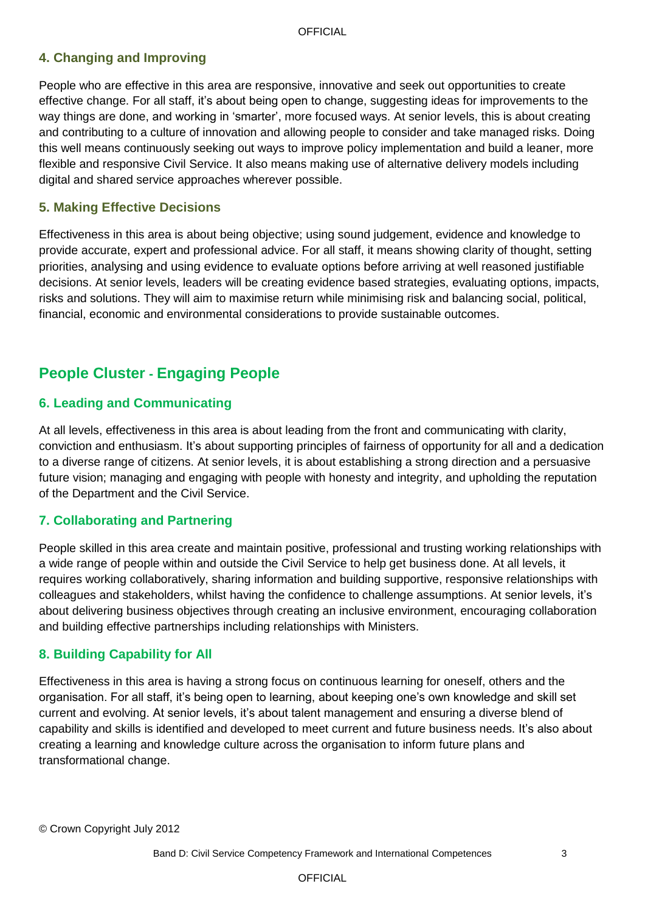## **4. Changing and Improving**

People who are effective in this area are responsive, innovative and seek out opportunities to create effective change. For all staff, it"s about being open to change, suggesting ideas for improvements to the way things are done, and working in "smarter", more focused ways. At senior levels, this is about creating and contributing to a culture of innovation and allowing people to consider and take managed risks. Doing this well means continuously seeking out ways to improve policy implementation and build a leaner, more flexible and responsive Civil Service. It also means making use of alternative delivery models including digital and shared service approaches wherever possible.

#### **5. Making Effective Decisions**

Effectiveness in this area is about being objective; using sound judgement, evidence and knowledge to provide accurate, expert and professional advice. For all staff, it means showing clarity of thought, setting priorities, analysing and using evidence to evaluate options before arriving at well reasoned justifiable decisions. At senior levels, leaders will be creating evidence based strategies, evaluating options, impacts, risks and solutions. They will aim to maximise return while minimising risk and balancing social, political, financial, economic and environmental considerations to provide sustainable outcomes.

# **People Cluster - Engaging People**

#### **6. Leading and Communicating**

At all levels, effectiveness in this area is about leading from the front and communicating with clarity, conviction and enthusiasm. It"s about supporting principles of fairness of opportunity for all and a dedication to a diverse range of citizens. At senior levels, it is about establishing a strong direction and a persuasive future vision; managing and engaging with people with honesty and integrity, and upholding the reputation of the Department and the Civil Service.

#### **7. Collaborating and Partnering**

People skilled in this area create and maintain positive, professional and trusting working relationships with a wide range of people within and outside the Civil Service to help get business done. At all levels, it requires working collaboratively, sharing information and building supportive, responsive relationships with colleagues and stakeholders, whilst having the confidence to challenge assumptions. At senior levels, it"s about delivering business objectives through creating an inclusive environment, encouraging collaboration and building effective partnerships including relationships with Ministers.

#### **8. Building Capability for All**

Effectiveness in this area is having a strong focus on continuous learning for oneself, others and the organisation. For all staff, it"s being open to learning, about keeping one"s own knowledge and skill set current and evolving. At senior levels, it's about talent management and ensuring a diverse blend of capability and skills is identified and developed to meet current and future business needs. It's also about creating a learning and knowledge culture across the organisation to inform future plans and transformational change.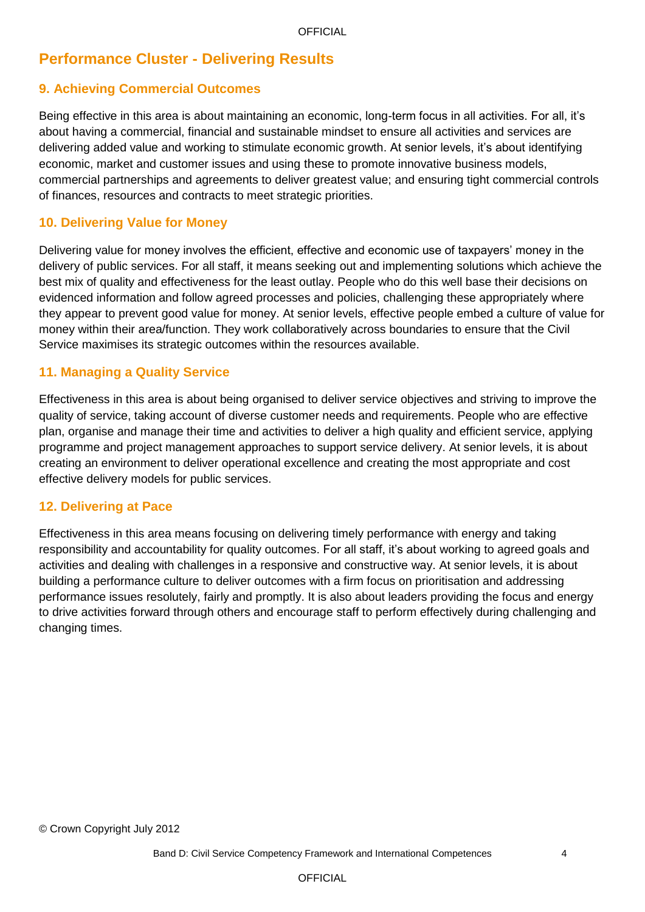# **Performance Cluster - Delivering Results**

## **9. Achieving Commercial Outcomes**

Being effective in this area is about maintaining an economic, long-term focus in all activities. For all, it"s about having a commercial, financial and sustainable mindset to ensure all activities and services are delivering added value and working to stimulate economic growth. At senior levels, it"s about identifying economic, market and customer issues and using these to promote innovative business models, commercial partnerships and agreements to deliver greatest value; and ensuring tight commercial controls of finances, resources and contracts to meet strategic priorities.

#### **10. Delivering Value for Money**

Delivering value for money involves the efficient, effective and economic use of taxpayers' money in the delivery of public services. For all staff, it means seeking out and implementing solutions which achieve the best mix of quality and effectiveness for the least outlay. People who do this well base their decisions on evidenced information and follow agreed processes and policies, challenging these appropriately where they appear to prevent good value for money. At senior levels, effective people embed a culture of value for money within their area/function. They work collaboratively across boundaries to ensure that the Civil Service maximises its strategic outcomes within the resources available.

#### **11. Managing a Quality Service**

Effectiveness in this area is about being organised to deliver service objectives and striving to improve the quality of service, taking account of diverse customer needs and requirements. People who are effective plan, organise and manage their time and activities to deliver a high quality and efficient service, applying programme and project management approaches to support service delivery. At senior levels, it is about creating an environment to deliver operational excellence and creating the most appropriate and cost effective delivery models for public services.

#### **12. Delivering at Pace**

Effectiveness in this area means focusing on delivering timely performance with energy and taking responsibility and accountability for quality outcomes. For all staff, it"s about working to agreed goals and activities and dealing with challenges in a responsive and constructive way. At senior levels, it is about building a performance culture to deliver outcomes with a firm focus on prioritisation and addressing performance issues resolutely, fairly and promptly. It is also about leaders providing the focus and energy to drive activities forward through others and encourage staff to perform effectively during challenging and changing times.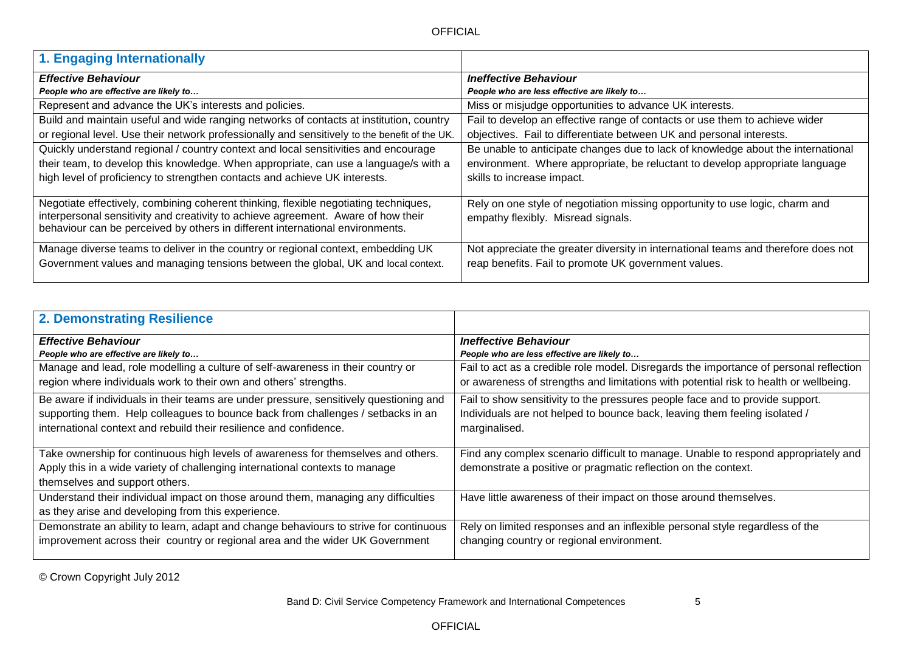| 1. Engaging Internationally                                                                                                                                                                                                                                |                                                                                                                    |
|------------------------------------------------------------------------------------------------------------------------------------------------------------------------------------------------------------------------------------------------------------|--------------------------------------------------------------------------------------------------------------------|
| <b>Effective Behaviour</b>                                                                                                                                                                                                                                 | <b>Ineffective Behaviour</b>                                                                                       |
| People who are effective are likely to                                                                                                                                                                                                                     | People who are less effective are likely to                                                                        |
| Represent and advance the UK's interests and policies.                                                                                                                                                                                                     | Miss or misjudge opportunities to advance UK interests.                                                            |
| Build and maintain useful and wide ranging networks of contacts at institution, country                                                                                                                                                                    | Fail to develop an effective range of contacts or use them to achieve wider                                        |
| or regional level. Use their network professionally and sensitively to the benefit of the UK.                                                                                                                                                              | objectives. Fail to differentiate between UK and personal interests.                                               |
| Quickly understand regional / country context and local sensitivities and encourage                                                                                                                                                                        | Be unable to anticipate changes due to lack of knowledge about the international                                   |
| their team, to develop this knowledge. When appropriate, can use a language/s with a                                                                                                                                                                       | environment. Where appropriate, be reluctant to develop appropriate language                                       |
| high level of proficiency to strengthen contacts and achieve UK interests.                                                                                                                                                                                 | skills to increase impact.                                                                                         |
| Negotiate effectively, combining coherent thinking, flexible negotiating techniques,<br>interpersonal sensitivity and creativity to achieve agreement. Aware of how their<br>behaviour can be perceived by others in different international environments. | Rely on one style of negotiation missing opportunity to use logic, charm and<br>empathy flexibly. Misread signals. |
| Manage diverse teams to deliver in the country or regional context, embedding UK                                                                                                                                                                           | Not appreciate the greater diversity in international teams and therefore does not                                 |
| Government values and managing tensions between the global, UK and local context.                                                                                                                                                                          | reap benefits. Fail to promote UK government values.                                                               |

| <b>2. Demonstrating Resilience</b>                                                     |                                                                                        |
|----------------------------------------------------------------------------------------|----------------------------------------------------------------------------------------|
| <b>Effective Behaviour</b>                                                             | <b>Ineffective Behaviour</b>                                                           |
| People who are effective are likely to                                                 | People who are less effective are likely to                                            |
| Manage and lead, role modelling a culture of self-awareness in their country or        | Fail to act as a credible role model. Disregards the importance of personal reflection |
| region where individuals work to their own and others' strengths.                      | or awareness of strengths and limitations with potential risk to health or wellbeing.  |
| Be aware if individuals in their teams are under pressure, sensitively questioning and | Fail to show sensitivity to the pressures people face and to provide support.          |
| supporting them. Help colleagues to bounce back from challenges / setbacks in an       | Individuals are not helped to bounce back, leaving them feeling isolated /             |
| international context and rebuild their resilience and confidence.                     | marginalised.                                                                          |
|                                                                                        |                                                                                        |
| Take ownership for continuous high levels of awareness for themselves and others.      | Find any complex scenario difficult to manage. Unable to respond appropriately and     |
| Apply this in a wide variety of challenging international contexts to manage           | demonstrate a positive or pragmatic reflection on the context.                         |
| themselves and support others.                                                         |                                                                                        |
| Understand their individual impact on those around them, managing any difficulties     | Have little awareness of their impact on those around themselves.                      |
| as they arise and developing from this experience.                                     |                                                                                        |
| Demonstrate an ability to learn, adapt and change behaviours to strive for continuous  | Rely on limited responses and an inflexible personal style regardless of the           |
| improvement across their country or regional area and the wider UK Government          | changing country or regional environment.                                              |
|                                                                                        |                                                                                        |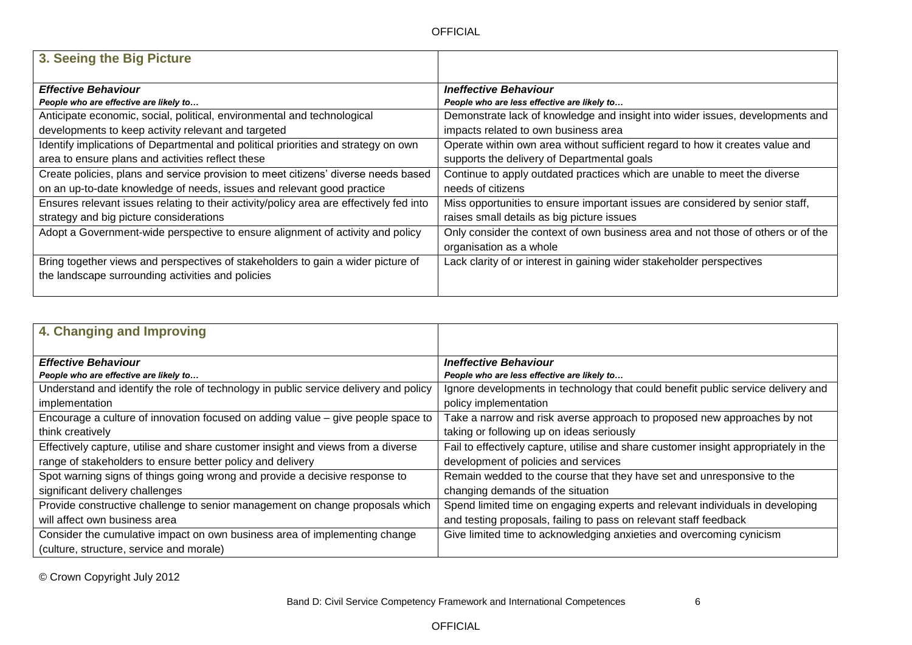| 3. Seeing the Big Picture                                                                                                             |                                                                                                             |
|---------------------------------------------------------------------------------------------------------------------------------------|-------------------------------------------------------------------------------------------------------------|
| <b>Effective Behaviour</b>                                                                                                            | <b>Ineffective Behaviour</b>                                                                                |
| People who are effective are likely to                                                                                                | People who are less effective are likely to                                                                 |
| Anticipate economic, social, political, environmental and technological                                                               | Demonstrate lack of knowledge and insight into wider issues, developments and                               |
| developments to keep activity relevant and targeted                                                                                   | impacts related to own business area                                                                        |
| Identify implications of Departmental and political priorities and strategy on own                                                    | Operate within own area without sufficient regard to how it creates value and                               |
| area to ensure plans and activities reflect these                                                                                     | supports the delivery of Departmental goals                                                                 |
| Create policies, plans and service provision to meet citizens' diverse needs based                                                    | Continue to apply outdated practices which are unable to meet the diverse                                   |
| on an up-to-date knowledge of needs, issues and relevant good practice                                                                | needs of citizens                                                                                           |
| Ensures relevant issues relating to their activity/policy area are effectively fed into                                               | Miss opportunities to ensure important issues are considered by senior staff,                               |
| strategy and big picture considerations                                                                                               | raises small details as big picture issues                                                                  |
| Adopt a Government-wide perspective to ensure alignment of activity and policy                                                        | Only consider the context of own business area and not those of others or of the<br>organisation as a whole |
| Bring together views and perspectives of stakeholders to gain a wider picture of<br>the landscape surrounding activities and policies | Lack clarity of or interest in gaining wider stakeholder perspectives                                       |

| 4. Changing and Improving                                                            |                                                                                      |
|--------------------------------------------------------------------------------------|--------------------------------------------------------------------------------------|
|                                                                                      |                                                                                      |
| <b>Effective Behaviour</b>                                                           | <b>Ineffective Behaviour</b>                                                         |
| People who are effective are likely to                                               | People who are less effective are likely to                                          |
| Understand and identify the role of technology in public service delivery and policy | Ignore developments in technology that could benefit public service delivery and     |
| implementation                                                                       | policy implementation                                                                |
| Encourage a culture of innovation focused on adding value $-$ give people space to   | Take a narrow and risk averse approach to proposed new approaches by not             |
| think creatively                                                                     | taking or following up on ideas seriously                                            |
| Effectively capture, utilise and share customer insight and views from a diverse     | Fail to effectively capture, utilise and share customer insight appropriately in the |
| range of stakeholders to ensure better policy and delivery                           | development of policies and services                                                 |
| Spot warning signs of things going wrong and provide a decisive response to          | Remain wedded to the course that they have set and unresponsive to the               |
| significant delivery challenges                                                      | changing demands of the situation                                                    |
| Provide constructive challenge to senior management on change proposals which        | Spend limited time on engaging experts and relevant individuals in developing        |
| will affect own business area                                                        | and testing proposals, failing to pass on relevant staff feedback                    |
| Consider the cumulative impact on own business area of implementing change           | Give limited time to acknowledging anxieties and overcoming cynicism                 |
| (culture, structure, service and morale)                                             |                                                                                      |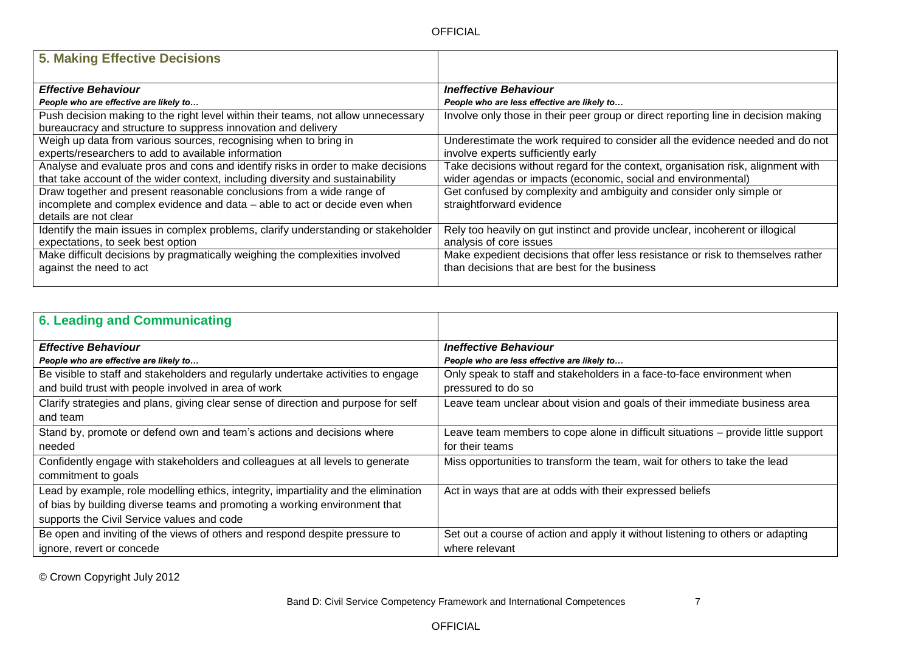| 5. Making Effective Decisions                                                                                                                      |                                                                                    |
|----------------------------------------------------------------------------------------------------------------------------------------------------|------------------------------------------------------------------------------------|
| <b>Effective Behaviour</b>                                                                                                                         | <b>Ineffective Behaviour</b>                                                       |
| People who are effective are likely to                                                                                                             | People who are less effective are likely to                                        |
| Push decision making to the right level within their teams, not allow unnecessary<br>bureaucracy and structure to suppress innovation and delivery | Involve only those in their peer group or direct reporting line in decision making |
| Weigh up data from various sources, recognising when to bring in                                                                                   | Underestimate the work required to consider all the evidence needed and do not     |
| experts/researchers to add to available information                                                                                                | involve experts sufficiently early                                                 |
| Analyse and evaluate pros and cons and identify risks in order to make decisions                                                                   | Take decisions without regard for the context, organisation risk, alignment with   |
| that take account of the wider context, including diversity and sustainability                                                                     | wider agendas or impacts (economic, social and environmental)                      |
| Draw together and present reasonable conclusions from a wide range of                                                                              | Get confused by complexity and ambiguity and consider only simple or               |
| incomplete and complex evidence and data - able to act or decide even when                                                                         | straightforward evidence                                                           |
| details are not clear                                                                                                                              |                                                                                    |
| Identify the main issues in complex problems, clarify understanding or stakeholder                                                                 | Rely too heavily on gut instinct and provide unclear, incoherent or illogical      |
| expectations, to seek best option                                                                                                                  | analysis of core issues                                                            |
| Make difficult decisions by pragmatically weighing the complexities involved                                                                       | Make expedient decisions that offer less resistance or risk to themselves rather   |
| against the need to act                                                                                                                            | than decisions that are best for the business                                      |
|                                                                                                                                                    |                                                                                    |

| <b>6. Leading and Communicating</b>                                                 |                                                                                   |
|-------------------------------------------------------------------------------------|-----------------------------------------------------------------------------------|
| <b>Effective Behaviour</b>                                                          | <b>Ineffective Behaviour</b>                                                      |
| People who are effective are likely to                                              | People who are less effective are likely to                                       |
| Be visible to staff and stakeholders and regularly undertake activities to engage   | Only speak to staff and stakeholders in a face-to-face environment when           |
| and build trust with people involved in area of work                                | pressured to do so                                                                |
| Clarify strategies and plans, giving clear sense of direction and purpose for self  | Leave team unclear about vision and goals of their immediate business area        |
| and team                                                                            |                                                                                   |
| Stand by, promote or defend own and team's actions and decisions where              | Leave team members to cope alone in difficult situations – provide little support |
| needed                                                                              | for their teams                                                                   |
| Confidently engage with stakeholders and colleagues at all levels to generate       | Miss opportunities to transform the team, wait for others to take the lead        |
| commitment to goals                                                                 |                                                                                   |
| Lead by example, role modelling ethics, integrity, impartiality and the elimination | Act in ways that are at odds with their expressed beliefs                         |
| of bias by building diverse teams and promoting a working environment that          |                                                                                   |
| supports the Civil Service values and code                                          |                                                                                   |
| Be open and inviting of the views of others and respond despite pressure to         | Set out a course of action and apply it without listening to others or adapting   |
| ignore, revert or concede                                                           | where relevant                                                                    |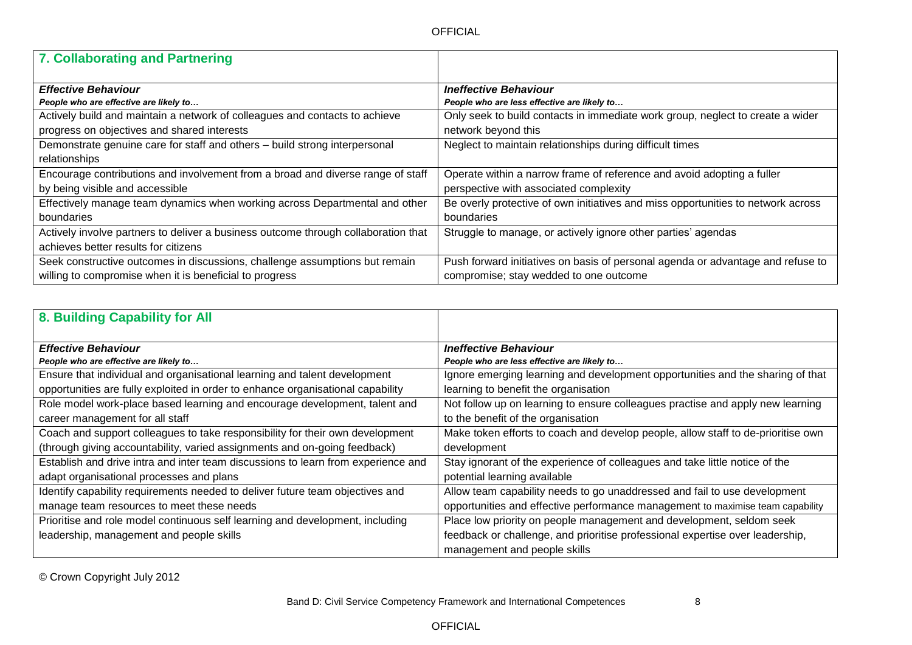| 7. Collaborating and Partnering                                                    |                                                                                  |
|------------------------------------------------------------------------------------|----------------------------------------------------------------------------------|
|                                                                                    |                                                                                  |
| <b>Effective Behaviour</b>                                                         | <b>Ineffective Behaviour</b>                                                     |
| People who are effective are likely to                                             | People who are less effective are likely to                                      |
| Actively build and maintain a network of colleagues and contacts to achieve        | Only seek to build contacts in immediate work group, neglect to create a wider   |
| progress on objectives and shared interests                                        | network beyond this                                                              |
| Demonstrate genuine care for staff and others - build strong interpersonal         | Neglect to maintain relationships during difficult times                         |
| relationships                                                                      |                                                                                  |
| Encourage contributions and involvement from a broad and diverse range of staff    | Operate within a narrow frame of reference and avoid adopting a fuller           |
| by being visible and accessible                                                    | perspective with associated complexity                                           |
| Effectively manage team dynamics when working across Departmental and other        | Be overly protective of own initiatives and miss opportunities to network across |
| boundaries                                                                         | boundaries                                                                       |
| Actively involve partners to deliver a business outcome through collaboration that | Struggle to manage, or actively ignore other parties' agendas                    |
| achieves better results for citizens                                               |                                                                                  |
| Seek constructive outcomes in discussions, challenge assumptions but remain        | Push forward initiatives on basis of personal agenda or advantage and refuse to  |
| willing to compromise when it is beneficial to progress                            | compromise; stay wedded to one outcome                                           |

| 8. Building Capability for All                                                    |                                                                                  |
|-----------------------------------------------------------------------------------|----------------------------------------------------------------------------------|
| <b>Effective Behaviour</b>                                                        | <b>Ineffective Behaviour</b>                                                     |
| People who are effective are likely to                                            | People who are less effective are likely to                                      |
| Ensure that individual and organisational learning and talent development         | Ignore emerging learning and development opportunities and the sharing of that   |
| opportunities are fully exploited in order to enhance organisational capability   | learning to benefit the organisation                                             |
| Role model work-place based learning and encourage development, talent and        | Not follow up on learning to ensure colleagues practise and apply new learning   |
| career management for all staff                                                   | to the benefit of the organisation                                               |
| Coach and support colleagues to take responsibility for their own development     | Make token efforts to coach and develop people, allow staff to de-prioritise own |
| (through giving accountability, varied assignments and on-going feedback)         | development                                                                      |
| Establish and drive intra and inter team discussions to learn from experience and | Stay ignorant of the experience of colleagues and take little notice of the      |
| adapt organisational processes and plans                                          | potential learning available                                                     |
| Identify capability requirements needed to deliver future team objectives and     | Allow team capability needs to go unaddressed and fail to use development        |
| manage team resources to meet these needs                                         | opportunities and effective performance management to maximise team capability   |
| Prioritise and role model continuous self learning and development, including     | Place low priority on people management and development, seldom seek             |
| leadership, management and people skills                                          | feedback or challenge, and prioritise professional expertise over leadership,    |
|                                                                                   | management and people skills                                                     |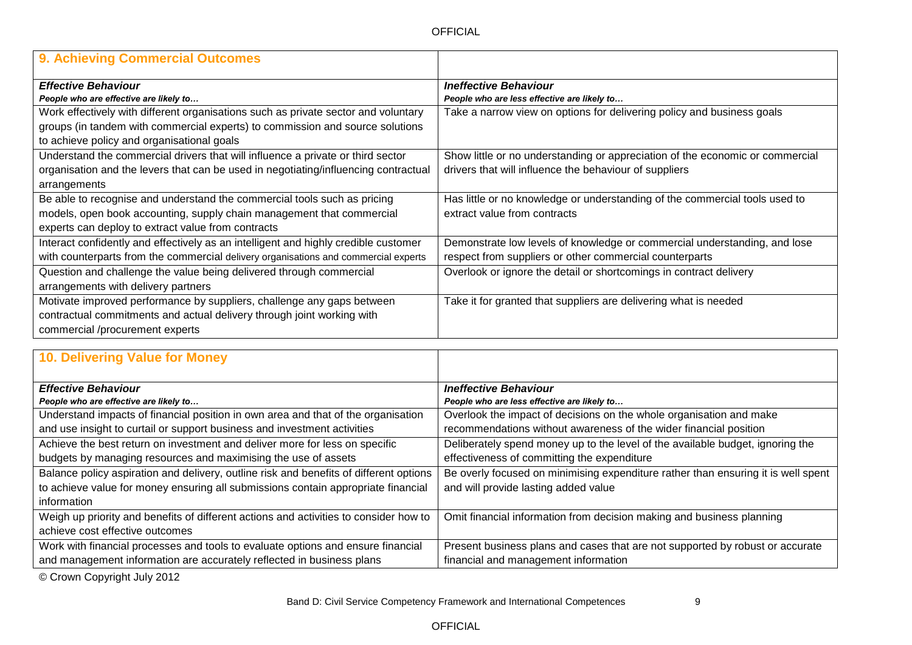| 9. Achieving Commercial Outcomes                                                    |                                                                               |
|-------------------------------------------------------------------------------------|-------------------------------------------------------------------------------|
| <b>Effective Behaviour</b>                                                          | <b>Ineffective Behaviour</b>                                                  |
| People who are effective are likely to                                              | People who are less effective are likely to                                   |
| Work effectively with different organisations such as private sector and voluntary  | Take a narrow view on options for delivering policy and business goals        |
| groups (in tandem with commercial experts) to commission and source solutions       |                                                                               |
| to achieve policy and organisational goals                                          |                                                                               |
| Understand the commercial drivers that will influence a private or third sector     | Show little or no understanding or appreciation of the economic or commercial |
| organisation and the levers that can be used in negotiating/influencing contractual | drivers that will influence the behaviour of suppliers                        |
| arrangements                                                                        |                                                                               |
| Be able to recognise and understand the commercial tools such as pricing            | Has little or no knowledge or understanding of the commercial tools used to   |
| models, open book accounting, supply chain management that commercial               | extract value from contracts                                                  |
| experts can deploy to extract value from contracts                                  |                                                                               |
| Interact confidently and effectively as an intelligent and highly credible customer | Demonstrate low levels of knowledge or commercial understanding, and lose     |
| with counterparts from the commercial delivery organisations and commercial experts | respect from suppliers or other commercial counterparts                       |
| Question and challenge the value being delivered through commercial                 | Overlook or ignore the detail or shortcomings in contract delivery            |
| arrangements with delivery partners                                                 |                                                                               |
| Motivate improved performance by suppliers, challenge any gaps between              | Take it for granted that suppliers are delivering what is needed              |
| contractual commitments and actual delivery through joint working with              |                                                                               |
| commercial /procurement experts                                                     |                                                                               |

| 10. Delivering Value for Money                                                         |                                                                                   |
|----------------------------------------------------------------------------------------|-----------------------------------------------------------------------------------|
| <b>Effective Behaviour</b>                                                             | <b>Ineffective Behaviour</b>                                                      |
| People who are effective are likely to                                                 | People who are less effective are likely to                                       |
| Understand impacts of financial position in own area and that of the organisation      | Overlook the impact of decisions on the whole organisation and make               |
| and use insight to curtail or support business and investment activities               | recommendations without awareness of the wider financial position                 |
| Achieve the best return on investment and deliver more for less on specific            | Deliberately spend money up to the level of the available budget, ignoring the    |
| budgets by managing resources and maximising the use of assets                         | effectiveness of committing the expenditure                                       |
| Balance policy aspiration and delivery, outline risk and benefits of different options | Be overly focused on minimising expenditure rather than ensuring it is well spent |
| to achieve value for money ensuring all submissions contain appropriate financial      | and will provide lasting added value                                              |
| information                                                                            |                                                                                   |
| Weigh up priority and benefits of different actions and activities to consider how to  | Omit financial information from decision making and business planning             |
| achieve cost effective outcomes                                                        |                                                                                   |
| Work with financial processes and tools to evaluate options and ensure financial       | Present business plans and cases that are not supported by robust or accurate     |
| and management information are accurately reflected in business plans                  | financial and management information                                              |